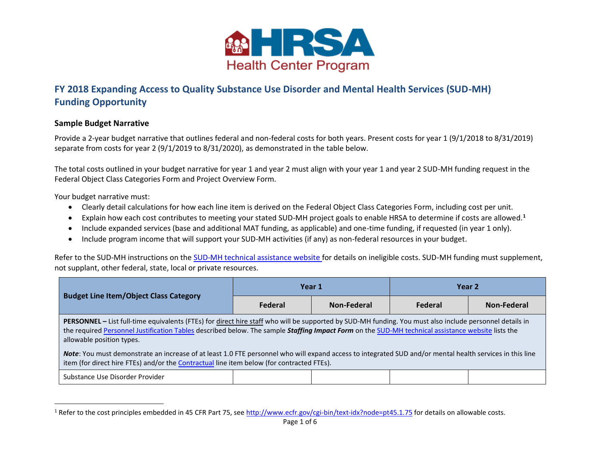

## **FY 2018 Expanding Access to Quality Substance Use Disorder and Mental Health Services (SUD-MH) Funding Opportunity**

## **Sample Budget Narrative**

Provide a 2-year budget narrative that outlines federal and non-federal costs for both years. Present costs for year 1 (9/1/2018 to 8/31/2019) separate from costs for year 2 (9/1/2019 to 8/31/2020), as demonstrated in the table below.

The total costs outlined in your budget narrative for year 1 and year 2 must align with your year 1 and year 2 SUD-MH funding request in the Federal Object Class Categories Form and Project Overview Form.

Your budget narrative must:

l

- Clearly detail calculations for how each line item is derived on the Federal Object Class Categories Form, including cost per unit.
- Explain how each cost contributes to meeting your stated SUD-MH project goals to enable HRSA to determine if costs are allowed.**<sup>1</sup>**
- Include expanded services (base and additional MAT funding, as applicable) and one-time funding, if requested (in year 1 only).
- Include program income that will support your SUD-MH activities (if any) as non-federal resources in your budget.

Refer to the SUD-MH instructions on th[e SUD-MH technical assistance website](https://bphc.hrsa.gov/programopportunities/fundingopportunities/sud-mh) for details on ineligible costs. SUD-MH funding must supplement, not supplant, other federal, state, local or private resources.

<span id="page-0-0"></span>

| <b>Budget Line Item/Object Class Category</b>                                                                                                                                                                                                                                                                                                    |         | Year 1      | Year 2  |             |  |  |
|--------------------------------------------------------------------------------------------------------------------------------------------------------------------------------------------------------------------------------------------------------------------------------------------------------------------------------------------------|---------|-------------|---------|-------------|--|--|
|                                                                                                                                                                                                                                                                                                                                                  | Federal | Non-Federal | Federal | Non-Federal |  |  |
| <b>PERSONNEL</b> – List full-time equivalents (FTEs) for direct hire staff who will be supported by SUD-MH funding. You must also include personnel details in<br>the required Personnel Justification Tables described below. The sample Staffing Impact Form on the SUD-MH technical assistance website lists the<br>allowable position types. |         |             |         |             |  |  |
| Note: You must demonstrate an increase of at least 1.0 FTE personnel who will expand access to integrated SUD and/or mental health services in this line<br>item (for direct hire FTEs) and/or the Contractual line item below (for contracted FTEs).                                                                                            |         |             |         |             |  |  |
| Substance Use Disorder Provider                                                                                                                                                                                                                                                                                                                  |         |             |         |             |  |  |

<sup>&</sup>lt;sup>1</sup> Refer to the cost principles embedded in 45 CFR Part 75, see [http://www.ecfr.gov/cgi-bin/text-idx?node=pt45.1.75 f](http://www.ecfr.gov/cgi-bin/text-idx?node=pt45.1.75)or details on allowable costs.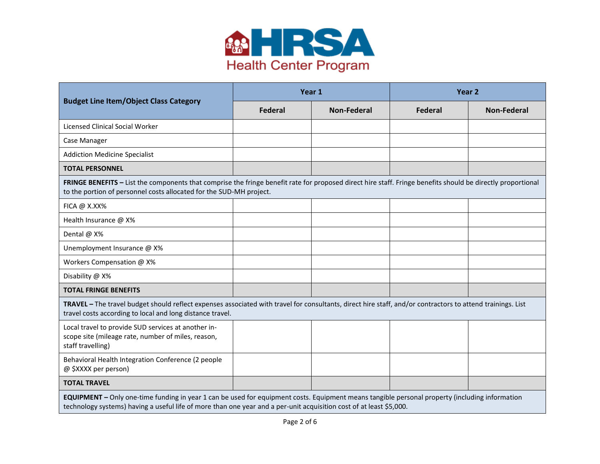

|                                                                                                                                                                                                                                                                       | Year 1         |                    | Year <sub>2</sub> |                    |  |  |
|-----------------------------------------------------------------------------------------------------------------------------------------------------------------------------------------------------------------------------------------------------------------------|----------------|--------------------|-------------------|--------------------|--|--|
| <b>Budget Line Item/Object Class Category</b>                                                                                                                                                                                                                         | <b>Federal</b> | <b>Non-Federal</b> | Federal           | <b>Non-Federal</b> |  |  |
| Licensed Clinical Social Worker                                                                                                                                                                                                                                       |                |                    |                   |                    |  |  |
| Case Manager                                                                                                                                                                                                                                                          |                |                    |                   |                    |  |  |
| <b>Addiction Medicine Specialist</b>                                                                                                                                                                                                                                  |                |                    |                   |                    |  |  |
| <b>TOTAL PERSONNEL</b>                                                                                                                                                                                                                                                |                |                    |                   |                    |  |  |
| FRINGE BENEFITS - List the components that comprise the fringe benefit rate for proposed direct hire staff. Fringe benefits should be directly proportional<br>to the portion of personnel costs allocated for the SUD-MH project.                                    |                |                    |                   |                    |  |  |
| FICA @ X.XX%                                                                                                                                                                                                                                                          |                |                    |                   |                    |  |  |
| Health Insurance @ X%                                                                                                                                                                                                                                                 |                |                    |                   |                    |  |  |
| Dental @ X%                                                                                                                                                                                                                                                           |                |                    |                   |                    |  |  |
| Unemployment Insurance @ X%                                                                                                                                                                                                                                           |                |                    |                   |                    |  |  |
| Workers Compensation @ X%                                                                                                                                                                                                                                             |                |                    |                   |                    |  |  |
| Disability @ X%                                                                                                                                                                                                                                                       |                |                    |                   |                    |  |  |
| <b>TOTAL FRINGE BENEFITS</b>                                                                                                                                                                                                                                          |                |                    |                   |                    |  |  |
| TRAVEL - The travel budget should reflect expenses associated with travel for consultants, direct hire staff, and/or contractors to attend trainings. List<br>travel costs according to local and long distance travel.                                               |                |                    |                   |                    |  |  |
| Local travel to provide SUD services at another in-<br>scope site (mileage rate, number of miles, reason,<br>staff travelling)                                                                                                                                        |                |                    |                   |                    |  |  |
| Behavioral Health Integration Conference (2 people<br>@ \$XXXX per person)                                                                                                                                                                                            |                |                    |                   |                    |  |  |
| <b>TOTAL TRAVEL</b>                                                                                                                                                                                                                                                   |                |                    |                   |                    |  |  |
| EQUIPMENT - Only one-time funding in year 1 can be used for equipment costs. Equipment means tangible personal property (including information<br>technology systems) having a useful life of more than one year and a per-unit acquisition cost of at least \$5,000. |                |                    |                   |                    |  |  |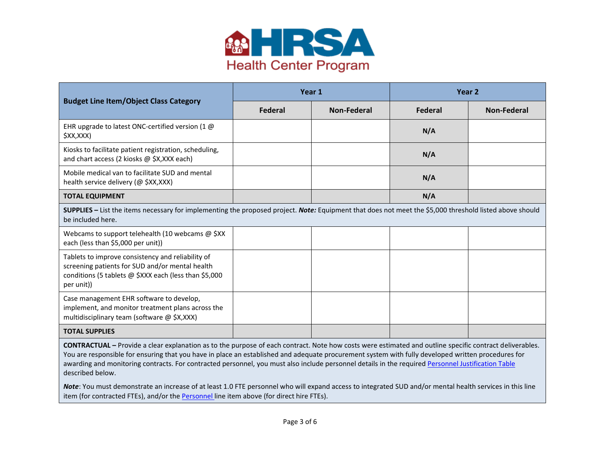

|                                                                                                                                                                              | Year 1  |             | Year <sub>2</sub> |             |  |
|------------------------------------------------------------------------------------------------------------------------------------------------------------------------------|---------|-------------|-------------------|-------------|--|
| <b>Budget Line Item/Object Class Category</b>                                                                                                                                | Federal | Non-Federal | Federal           | Non-Federal |  |
| EHR upgrade to latest ONC-certified version (1 $\omega$<br>\$XX,XXX)                                                                                                         |         |             | N/A               |             |  |
| Kiosks to facilitate patient registration, scheduling,<br>and chart access (2 kiosks @ \$X,XXX each)                                                                         |         |             | N/A               |             |  |
| Mobile medical van to facilitate SUD and mental<br>health service delivery (@ \$XX,XXX)                                                                                      |         |             | N/A               |             |  |
| <b>TOTAL EQUIPMENT</b>                                                                                                                                                       |         |             | N/A               |             |  |
| SUPPLIES - List the items necessary for implementing the proposed project. Note: Equipment that does not meet the \$5,000 threshold listed above should<br>be included here. |         |             |                   |             |  |
| Webcams to support telehealth (10 webcams @ \$XX<br>each (less than \$5,000 per unit))                                                                                       |         |             |                   |             |  |
| Tablets to improve consistency and reliability of<br>screening patients for SUD and/or mental health<br>conditions (5 tablets @ \$XXX each (less than \$5,000<br>per unit))  |         |             |                   |             |  |
| Case management EHR software to develop,<br>implement, and monitor treatment plans across the<br>multidisciplinary team (software @ \$X,XXX)                                 |         |             |                   |             |  |
| <b>TOTAL SUPPLIES</b>                                                                                                                                                        |         |             |                   |             |  |

<span id="page-2-0"></span>**CONTRACTUAL –** Provide a clear explanation as to the purpose of each contract. Note how costs were estimated and outline specific contract deliverables. You are responsible for ensuring that you have in place an established and adequate procurement system with fully developed written procedures for awarding and monitoring contracts. For contracted personnel, you must also include personnel details in the require[d Personnel Justification Table](#page-4-0) described below.

*Note*: You must demonstrate an increase of at least 1.0 FTE personnel who will expand access to integrated SUD and/or mental health services in this line item (for contracted FTEs), and/or the [Personnel l](#page-0-0)ine item above (for direct hire FTEs).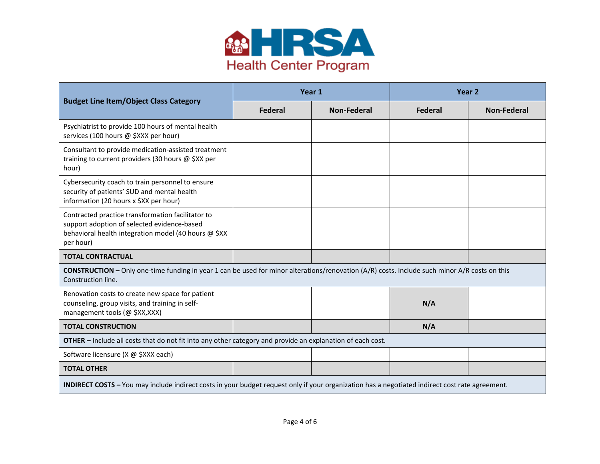

|                                                                                                                                                                            |                | Year 1      | Year <sub>2</sub> |             |  |
|----------------------------------------------------------------------------------------------------------------------------------------------------------------------------|----------------|-------------|-------------------|-------------|--|
| <b>Budget Line Item/Object Class Category</b>                                                                                                                              | <b>Federal</b> | Non-Federal | Federal           | Non-Federal |  |
| Psychiatrist to provide 100 hours of mental health<br>services (100 hours @ \$XXX per hour)                                                                                |                |             |                   |             |  |
| Consultant to provide medication-assisted treatment<br>training to current providers (30 hours @ \$XX per<br>hour)                                                         |                |             |                   |             |  |
| Cybersecurity coach to train personnel to ensure<br>security of patients' SUD and mental health<br>information (20 hours x \$XX per hour)                                  |                |             |                   |             |  |
| Contracted practice transformation facilitator to<br>support adoption of selected evidence-based<br>behavioral health integration model (40 hours @ \$XX<br>per hour)      |                |             |                   |             |  |
| <b>TOTAL CONTRACTUAL</b>                                                                                                                                                   |                |             |                   |             |  |
| <b>CONSTRUCTION</b> - Only one-time funding in year 1 can be used for minor alterations/renovation (A/R) costs. Include such minor A/R costs on this<br>Construction line. |                |             |                   |             |  |
| Renovation costs to create new space for patient<br>counseling, group visits, and training in self-<br>management tools (@ \$XX,XXX)                                       |                |             | N/A               |             |  |
| <b>TOTAL CONSTRUCTION</b>                                                                                                                                                  |                |             | N/A               |             |  |
| <b>OTHER</b> – Include all costs that do not fit into any other category and provide an explanation of each cost.                                                          |                |             |                   |             |  |
| Software licensure (X @ \$XXX each)                                                                                                                                        |                |             |                   |             |  |
| <b>TOTAL OTHER</b>                                                                                                                                                         |                |             |                   |             |  |
| <b>INDIRECT COSTS</b> - You may include indirect costs in your budget request only if your organization has a negotiated indirect cost rate agreement.                     |                |             |                   |             |  |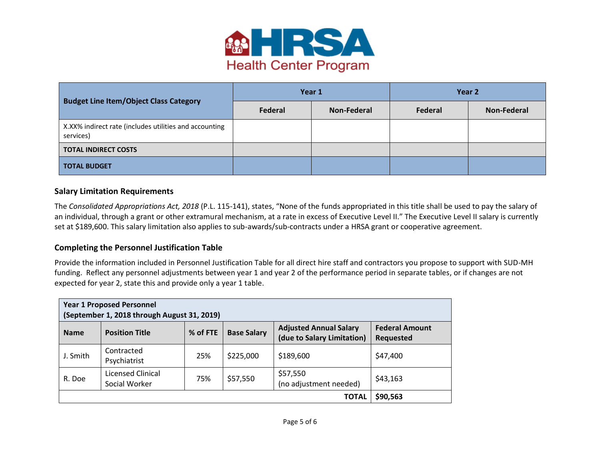

|                                                                     |         | Year 1      | Year 2  |             |
|---------------------------------------------------------------------|---------|-------------|---------|-------------|
| <b>Budget Line Item/Object Class Category</b>                       | Federal | Non-Federal | Federal | Non-Federal |
| X.XX% indirect rate (includes utilities and accounting<br>services) |         |             |         |             |
| <b>TOTAL INDIRECT COSTS</b>                                         |         |             |         |             |
| <b>TOTAL BUDGET</b>                                                 |         |             |         |             |

## **Salary Limitation Requirements**

The *Consolidated Appropriations Act, 2018* (P.L. 115-141), states, "None of the funds appropriated in this title shall be used to pay the salary of an individual, through a grant or other extramural mechanism, at a rate in excess of Executive Level II." The Executive Level II salary is currently set at \$189,600. This salary limitation also applies to sub-awards/sub-contracts under a HRSA grant or cooperative agreement.

## <span id="page-4-0"></span>**Completing the Personnel Justification Table**

Provide the information included in Personnel Justification Table for all direct hire staff and contractors you propose to support with SUD-MH funding. Reflect any personnel adjustments between year 1 and year 2 of the performance period in separate tables, or if changes are not expected for year 2, state this and provide only a year 1 table.

| <b>Year 1 Proposed Personnel</b><br>(September 1, 2018 through August 31, 2019) |                                    |          |                    |                                                             |                                           |  |
|---------------------------------------------------------------------------------|------------------------------------|----------|--------------------|-------------------------------------------------------------|-------------------------------------------|--|
| <b>Name</b>                                                                     | <b>Position Title</b>              | % of FTE | <b>Base Salary</b> | <b>Adjusted Annual Salary</b><br>(due to Salary Limitation) | <b>Federal Amount</b><br><b>Requested</b> |  |
| J. Smith                                                                        | Contracted<br>Psychiatrist         | 25%      | \$225,000          | \$189,600                                                   | \$47,400                                  |  |
| R. Doe                                                                          | Licensed Clinical<br>Social Worker | 75%      | \$57,550           | \$57,550<br>(no adjustment needed)                          | \$43,163                                  |  |
|                                                                                 | \$90,563                           |          |                    |                                                             |                                           |  |